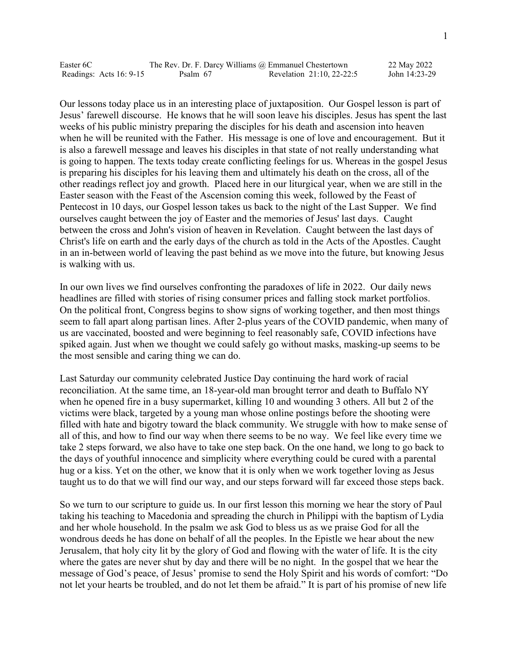| Easter 6C |                         |          | The Rev. Dr. F. Darcy Williams @ Emmanuel Chestertown | 22 May 2022   |
|-----------|-------------------------|----------|-------------------------------------------------------|---------------|
|           | Readings: Acts 16: 9-15 | Psalm 67 | Revelation 21:10, 22-22:5                             | John 14:23-29 |

Our lessons today place us in an interesting place of juxtaposition. Our Gospel lesson is part of Jesus' farewell discourse. He knows that he will soon leave his disciples. Jesus has spent the last weeks of his public ministry preparing the disciples for his death and ascension into heaven when he will be reunited with the Father. His message is one of love and encouragement. But it is also a farewell message and leaves his disciples in that state of not really understanding what is going to happen. The texts today create conflicting feelings for us. Whereas in the gospel Jesus is preparing his disciples for his leaving them and ultimately his death on the cross, all of the other readings reflect joy and growth. Placed here in our liturgical year, when we are still in the Easter season with the Feast of the Ascension coming this week, followed by the Feast of Pentecost in 10 days, our Gospel lesson takes us back to the night of the Last Supper. We find ourselves caught between the joy of Easter and the memories of Jesus' last days. Caught between the cross and John's vision of heaven in Revelation. Caught between the last days of Christ's life on earth and the early days of the church as told in the Acts of the Apostles. Caught in an in-between world of leaving the past behind as we move into the future, but knowing Jesus is walking with us.

In our own lives we find ourselves confronting the paradoxes of life in 2022. Our daily news headlines are filled with stories of rising consumer prices and falling stock market portfolios. On the political front, Congress begins to show signs of working together, and then most things seem to fall apart along partisan lines. After 2-plus years of the COVID pandemic, when many of us are vaccinated, boosted and were beginning to feel reasonably safe, COVID infections have spiked again. Just when we thought we could safely go without masks, masking-up seems to be the most sensible and caring thing we can do.

Last Saturday our community celebrated Justice Day continuing the hard work of racial reconciliation. At the same time, an 18-year-old man brought terror and death to Buffalo NY when he opened fire in a busy supermarket, killing 10 and wounding 3 others. All but 2 of the victims were black, targeted by a young man whose online postings before the shooting were filled with hate and bigotry toward the black community. We struggle with how to make sense of all of this, and how to find our way when there seems to be no way. We feel like every time we take 2 steps forward, we also have to take one step back. On the one hand, we long to go back to the days of youthful innocence and simplicity where everything could be cured with a parental hug or a kiss. Yet on the other, we know that it is only when we work together loving as Jesus taught us to do that we will find our way, and our steps forward will far exceed those steps back.

So we turn to our scripture to guide us. In our first lesson this morning we hear the story of Paul taking his teaching to Macedonia and spreading the church in Philippi with the baptism of Lydia and her whole household. In the psalm we ask God to bless us as we praise God for all the wondrous deeds he has done on behalf of all the peoples. In the Epistle we hear about the new Jerusalem, that holy city lit by the glory of God and flowing with the water of life. It is the city where the gates are never shut by day and there will be no night. In the gospel that we hear the message of God's peace, of Jesus' promise to send the Holy Spirit and his words of comfort: "Do not let your hearts be troubled, and do not let them be afraid." It is part of his promise of new life